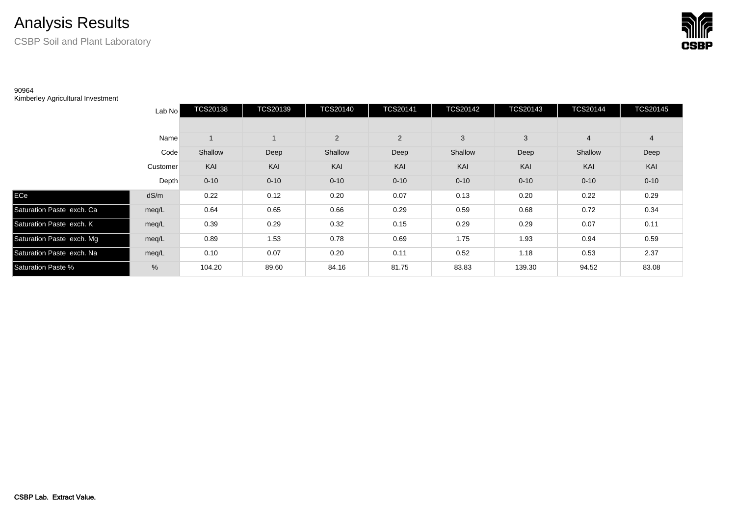## Analysis Results

CSBP Soil and Plant Laboratory



## 90964

Kimberley Agricultural Investment

|                           | Lab No   | <b>TCS20138</b> | <b>TCS20139</b> | <b>TCS20140</b> | <b>TCS20141</b> | <b>TCS20142</b> | <b>TCS20143</b> | <b>TCS20144</b> | <b>TCS20145</b> |
|---------------------------|----------|-----------------|-----------------|-----------------|-----------------|-----------------|-----------------|-----------------|-----------------|
|                           |          |                 |                 |                 |                 |                 |                 |                 |                 |
|                           | Name     |                 |                 | $\overline{2}$  | $\overline{2}$  | 3               | 3               | $\overline{4}$  | $\overline{4}$  |
|                           | Code     | Shallow         | Deep            | Shallow         | Deep            | Shallow         | Deep            | Shallow         | Deep            |
|                           | Customer | KAI             | KAI             | KAI             | KAI             | KAI             | KAI             | KAI             | KAI             |
|                           | Depth    | $0 - 10$        | $0 - 10$        | $0 - 10$        | $0 - 10$        | $0 - 10$        | $0 - 10$        | $0 - 10$        | $0 - 10$        |
| ECe                       | dS/m     | 0.22            | 0.12            | 0.20            | 0.07            | 0.13            | 0.20            | 0.22            | 0.29            |
| Saturation Paste exch. Ca | meg/L    | 0.64            | 0.65            | 0.66            | 0.29            | 0.59            | 0.68            | 0.72            | 0.34            |
| Saturation Paste exch. K  | meq/L    | 0.39            | 0.29            | 0.32            | 0.15            | 0.29            | 0.29            | 0.07            | 0.11            |
| Saturation Paste exch. Mg | meq/L    | 0.89            | 1.53            | 0.78            | 0.69            | 1.75            | 1.93            | 0.94            | 0.59            |
| Saturation Paste exch. Na | meg/L    | 0.10            | 0.07            | 0.20            | 0.11            | 0.52            | 1.18            | 0.53            | 2.37            |
| <b>Saturation Paste %</b> | %        | 104.20          | 89.60           | 84.16           | 81.75           | 83.83           | 139.30          | 94.52           | 83.08           |